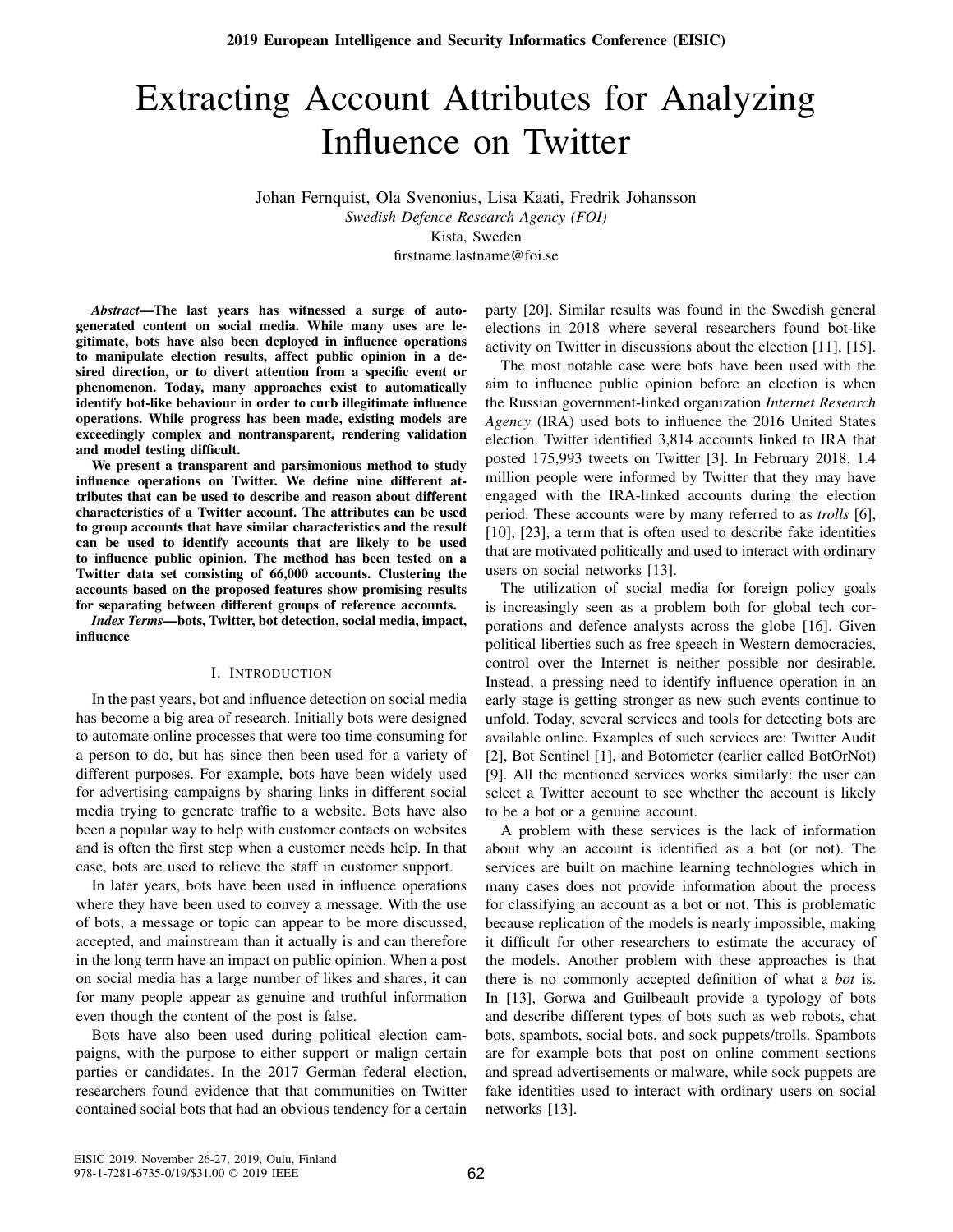# Extracting Account Attributes for Analyzing Influence on Twitter

Johan Fernquist, Ola Svenonius, Lisa Kaati, Fredrik Johansson *Swedish Defence Research Agency (FOI)* Kista, Sweden

firstname.lastname@foi.se

*Abstract*—The last years has witnessed a surge of autogenerated content on social media. While many uses are legitimate, bots have also been deployed in influence operations to manipulate election results, affect public opinion in a desired direction, or to divert attention from a specific event or phenomenon. Today, many approaches exist to automatically identify bot-like behaviour in order to curb illegitimate influence operations. While progress has been made, existing models are exceedingly complex and nontransparent, rendering validation and model testing difficult.

We present a transparent and parsimonious method to study influence operations on Twitter. We define nine different attributes that can be used to describe and reason about different characteristics of a Twitter account. The attributes can be used to group accounts that have similar characteristics and the result can be used to identify accounts that are likely to be used to influence public opinion. The method has been tested on a Twitter data set consisting of 66,000 accounts. Clustering the accounts based on the proposed features show promising results for separating between different groups of reference accounts.

*Index Terms*—bots, Twitter, bot detection, social media, impact, influence

#### I. INTRODUCTION

In the past years, bot and influence detection on social media has become a big area of research. Initially bots were designed to automate online processes that were too time consuming for a person to do, but has since then been used for a variety of different purposes. For example, bots have been widely used for advertising campaigns by sharing links in different social media trying to generate traffic to a website. Bots have also been a popular way to help with customer contacts on websites and is often the first step when a customer needs help. In that case, bots are used to relieve the staff in customer support.

In later years, bots have been used in influence operations where they have been used to convey a message. With the use of bots, a message or topic can appear to be more discussed, accepted, and mainstream than it actually is and can therefore in the long term have an impact on public opinion. When a post on social media has a large number of likes and shares, it can for many people appear as genuine and truthful information even though the content of the post is false.

Bots have also been used during political election campaigns, with the purpose to either support or malign certain parties or candidates. In the 2017 German federal election, researchers found evidence that that communities on Twitter contained social bots that had an obvious tendency for a certain party [20]. Similar results was found in the Swedish general elections in 2018 where several researchers found bot-like activity on Twitter in discussions about the election [11], [15].

The most notable case were bots have been used with the aim to influence public opinion before an election is when the Russian government-linked organization *Internet Research Agency* (IRA) used bots to influence the 2016 United States election. Twitter identified 3,814 accounts linked to IRA that posted 175,993 tweets on Twitter [3]. In February 2018, 1.4 million people were informed by Twitter that they may have engaged with the IRA-linked accounts during the election period. These accounts were by many referred to as *trolls* [6], [10], [23], a term that is often used to describe fake identities that are motivated politically and used to interact with ordinary users on social networks [13].

The utilization of social media for foreign policy goals is increasingly seen as a problem both for global tech corporations and defence analysts across the globe [16]. Given political liberties such as free speech in Western democracies, control over the Internet is neither possible nor desirable. Instead, a pressing need to identify influence operation in an early stage is getting stronger as new such events continue to unfold. Today, several services and tools for detecting bots are available online. Examples of such services are: Twitter Audit [2], Bot Sentinel [1], and Botometer (earlier called BotOrNot) [9]. All the mentioned services works similarly: the user can select a Twitter account to see whether the account is likely to be a bot or a genuine account.

A problem with these services is the lack of information about why an account is identified as a bot (or not). The services are built on machine learning technologies which in many cases does not provide information about the process for classifying an account as a bot or not. This is problematic because replication of the models is nearly impossible, making it difficult for other researchers to estimate the accuracy of the models. Another problem with these approaches is that there is no commonly accepted definition of what a *bot* is. In [13], Gorwa and Guilbeault provide a typology of bots and describe different types of bots such as web robots, chat bots, spambots, social bots, and sock puppets/trolls. Spambots are for example bots that post on online comment sections and spread advertisements or malware, while sock puppets are fake identities used to interact with ordinary users on social networks [13].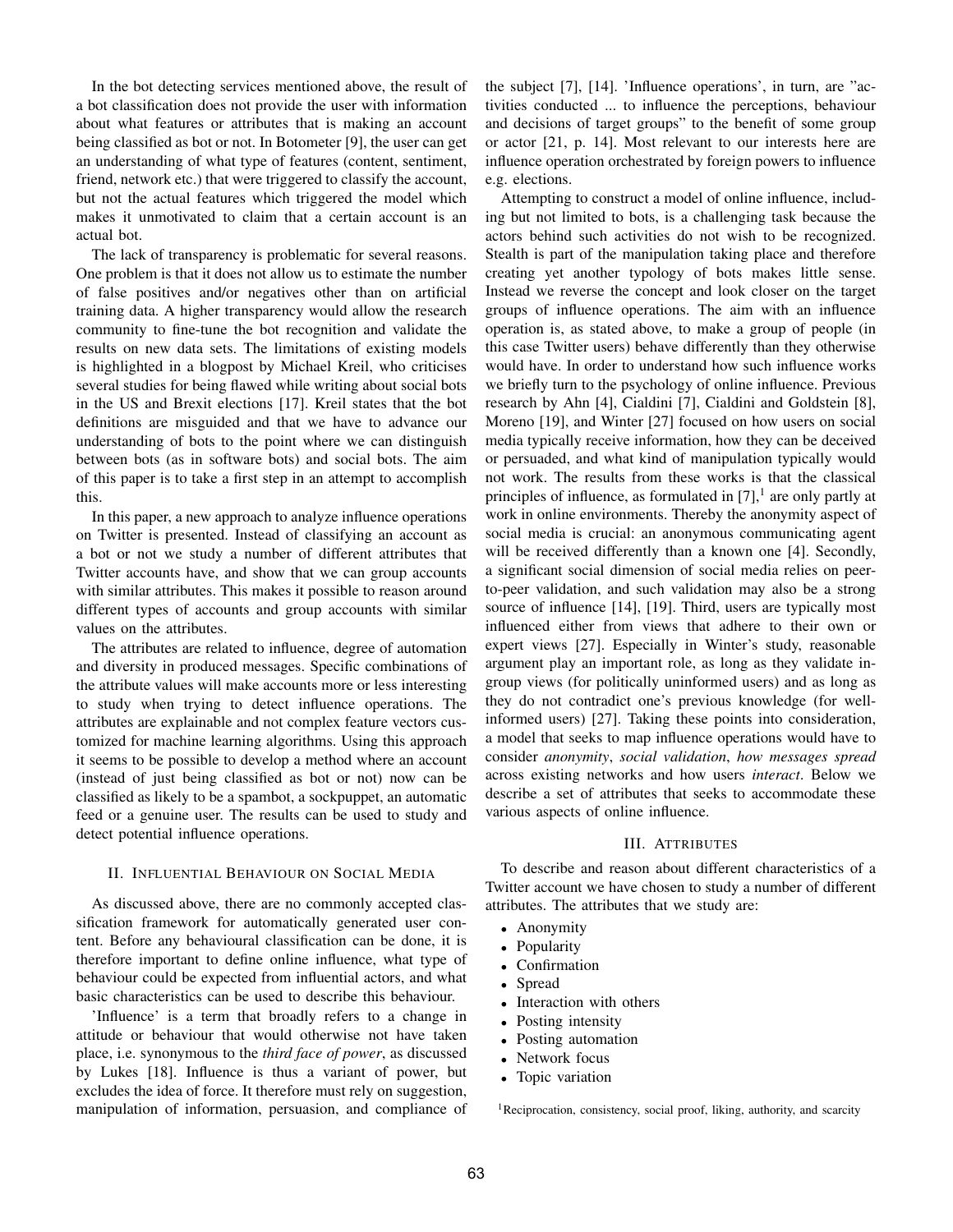In the bot detecting services mentioned above, the result of a bot classification does not provide the user with information about what features or attributes that is making an account being classified as bot or not. In Botometer [9], the user can get an understanding of what type of features (content, sentiment, friend, network etc.) that were triggered to classify the account, but not the actual features which triggered the model which makes it unmotivated to claim that a certain account is an actual bot.

The lack of transparency is problematic for several reasons. One problem is that it does not allow us to estimate the number of false positives and/or negatives other than on artificial training data. A higher transparency would allow the research community to fine-tune the bot recognition and validate the results on new data sets. The limitations of existing models is highlighted in a blogpost by Michael Kreil, who criticises several studies for being flawed while writing about social bots in the US and Brexit elections [17]. Kreil states that the bot definitions are misguided and that we have to advance our understanding of bots to the point where we can distinguish between bots (as in software bots) and social bots. The aim of this paper is to take a first step in an attempt to accomplish this.

In this paper, a new approach to analyze influence operations on Twitter is presented. Instead of classifying an account as a bot or not we study a number of different attributes that Twitter accounts have, and show that we can group accounts with similar attributes. This makes it possible to reason around different types of accounts and group accounts with similar values on the attributes.

The attributes are related to influence, degree of automation and diversity in produced messages. Specific combinations of the attribute values will make accounts more or less interesting to study when trying to detect influence operations. The attributes are explainable and not complex feature vectors customized for machine learning algorithms. Using this approach it seems to be possible to develop a method where an account (instead of just being classified as bot or not) now can be classified as likely to be a spambot, a sockpuppet, an automatic feed or a genuine user. The results can be used to study and detect potential influence operations.

# II. INFLUENTIAL BEHAVIOUR ON SOCIAL MEDIA

As discussed above, there are no commonly accepted classification framework for automatically generated user content. Before any behavioural classification can be done, it is therefore important to define online influence, what type of behaviour could be expected from influential actors, and what basic characteristics can be used to describe this behaviour.

'Influence' is a term that broadly refers to a change in attitude or behaviour that would otherwise not have taken place, i.e. synonymous to the *third face of power*, as discussed by Lukes [18]. Influence is thus a variant of power, but excludes the idea of force. It therefore must rely on suggestion, manipulation of information, persuasion, and compliance of the subject [7], [14]. 'Influence operations', in turn, are "activities conducted ... to influence the perceptions, behaviour and decisions of target groups" to the benefit of some group or actor [21, p. 14]. Most relevant to our interests here are influence operation orchestrated by foreign powers to influence e.g. elections.

Attempting to construct a model of online influence, including but not limited to bots, is a challenging task because the actors behind such activities do not wish to be recognized. Stealth is part of the manipulation taking place and therefore creating yet another typology of bots makes little sense. Instead we reverse the concept and look closer on the target groups of influence operations. The aim with an influence operation is, as stated above, to make a group of people (in this case Twitter users) behave differently than they otherwise would have. In order to understand how such influence works we briefly turn to the psychology of online influence. Previous research by Ahn [4], Cialdini [7], Cialdini and Goldstein [8], Moreno [19], and Winter [27] focused on how users on social media typically receive information, how they can be deceived or persuaded, and what kind of manipulation typically would not work. The results from these works is that the classical principles of influence, as formulated in  $[7]$ , are only partly at work in online environments. Thereby the anonymity aspect of social media is crucial: an anonymous communicating agent will be received differently than a known one [4]. Secondly, a significant social dimension of social media relies on peerto-peer validation, and such validation may also be a strong source of influence [14], [19]. Third, users are typically most influenced either from views that adhere to their own or expert views [27]. Especially in Winter's study, reasonable argument play an important role, as long as they validate ingroup views (for politically uninformed users) and as long as they do not contradict one's previous knowledge (for wellinformed users) [27]. Taking these points into consideration, a model that seeks to map influence operations would have to consider *anonymity*, *social validation*, *how messages spread* across existing networks and how users *interact*. Below we describe a set of attributes that seeks to accommodate these various aspects of online influence.

#### III. ATTRIBUTES

To describe and reason about different characteristics of a Twitter account we have chosen to study a number of different attributes. The attributes that we study are:

- Anonymity
- Popularity
- Confirmation
- Spread
- Interaction with others
- Posting intensity
- Posting automation
- Network focus
- Topic variation

<sup>1</sup>Reciprocation, consistency, social proof, liking, authority, and scarcity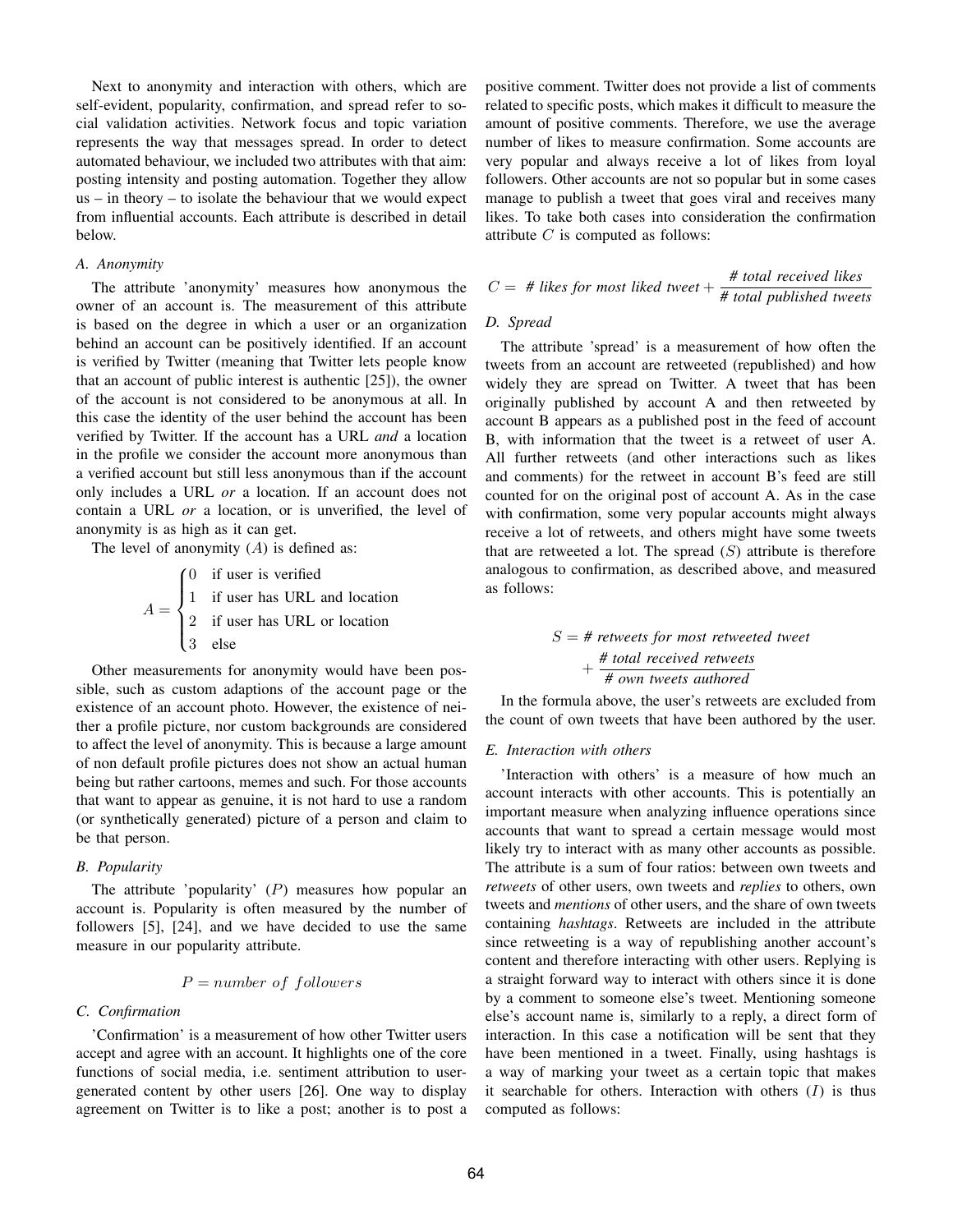Next to anonymity and interaction with others, which are self-evident, popularity, confirmation, and spread refer to social validation activities. Network focus and topic variation represents the way that messages spread. In order to detect automated behaviour, we included two attributes with that aim: posting intensity and posting automation. Together they allow us – in theory – to isolate the behaviour that we would expect from influential accounts. Each attribute is described in detail below.

# *A. Anonymity*

The attribute 'anonymity' measures how anonymous the owner of an account is. The measurement of this attribute is based on the degree in which a user or an organization behind an account can be positively identified. If an account is verified by Twitter (meaning that Twitter lets people know that an account of public interest is authentic [25]), the owner of the account is not considered to be anonymous at all. In this case the identity of the user behind the account has been verified by Twitter. If the account has a URL *and* a location in the profile we consider the account more anonymous than a verified account but still less anonymous than if the account only includes a URL *or* a location. If an account does not contain a URL *or* a location, or is unverified, the level of anonymity is as high as it can get.

The level of anonymity  $(A)$  is defined as:

 $A =$  $\sqrt{ }$  $\int$  $\overline{\mathcal{L}}$ 0 if user is verified 1 if user has URL and location 2 if user has URL or location 3 else

Other measurements for anonymity would have been possible, such as custom adaptions of the account page or the existence of an account photo. However, the existence of neither a profile picture, nor custom backgrounds are considered to affect the level of anonymity. This is because a large amount of non default profile pictures does not show an actual human being but rather cartoons, memes and such. For those accounts that want to appear as genuine, it is not hard to use a random (or synthetically generated) picture of a person and claim to be that person.

# *B. Popularity*

The attribute 'popularity'  $(P)$  measures how popular an account is. Popularity is often measured by the number of followers [5], [24], and we have decided to use the same measure in our popularity attribute.

# $P = number of follows$

# *C. Confirmation*

'Confirmation' is a measurement of how other Twitter users accept and agree with an account. It highlights one of the core functions of social media, i.e. sentiment attribution to usergenerated content by other users [26]. One way to display agreement on Twitter is to like a post; another is to post a

positive comment. Twitter does not provide a list of comments related to specific posts, which makes it difficult to measure the amount of positive comments. Therefore, we use the average number of likes to measure confirmation. Some accounts are very popular and always receive a lot of likes from loyal followers. Other accounts are not so popular but in some cases manage to publish a tweet that goes viral and receives many likes. To take both cases into consideration the confirmation attribute  $C$  is computed as follows:

$$
C = #
$$
 likes for most liked tweet +  $\frac{\# \text{ total received likes}}{\# \text{ total published tweets}}$ 

# *D. Spread*

The attribute 'spread' is a measurement of how often the tweets from an account are retweeted (republished) and how widely they are spread on Twitter. A tweet that has been originally published by account A and then retweeted by account B appears as a published post in the feed of account B, with information that the tweet is a retweet of user A. All further retweets (and other interactions such as likes and comments) for the retweet in account B's feed are still counted for on the original post of account A. As in the case with confirmation, some very popular accounts might always receive a lot of retweets, and others might have some tweets that are retweeted a lot. The spread  $(S)$  attribute is therefore analogous to confirmation, as described above, and measured as follows:

# S = *# retweets for most retweeted tweet* + *# total received retweets # own tweets authored*

In the formula above, the user's retweets are excluded from the count of own tweets that have been authored by the user.

# *E. Interaction with others*

'Interaction with others' is a measure of how much an account interacts with other accounts. This is potentially an important measure when analyzing influence operations since accounts that want to spread a certain message would most likely try to interact with as many other accounts as possible. The attribute is a sum of four ratios: between own tweets and *retweets* of other users, own tweets and *replies* to others, own tweets and *mentions* of other users, and the share of own tweets containing *hashtags*. Retweets are included in the attribute since retweeting is a way of republishing another account's content and therefore interacting with other users. Replying is a straight forward way to interact with others since it is done by a comment to someone else's tweet. Mentioning someone else's account name is, similarly to a reply, a direct form of interaction. In this case a notification will be sent that they have been mentioned in a tweet. Finally, using hashtags is a way of marking your tweet as a certain topic that makes it searchable for others. Interaction with others  $(I)$  is thus computed as follows: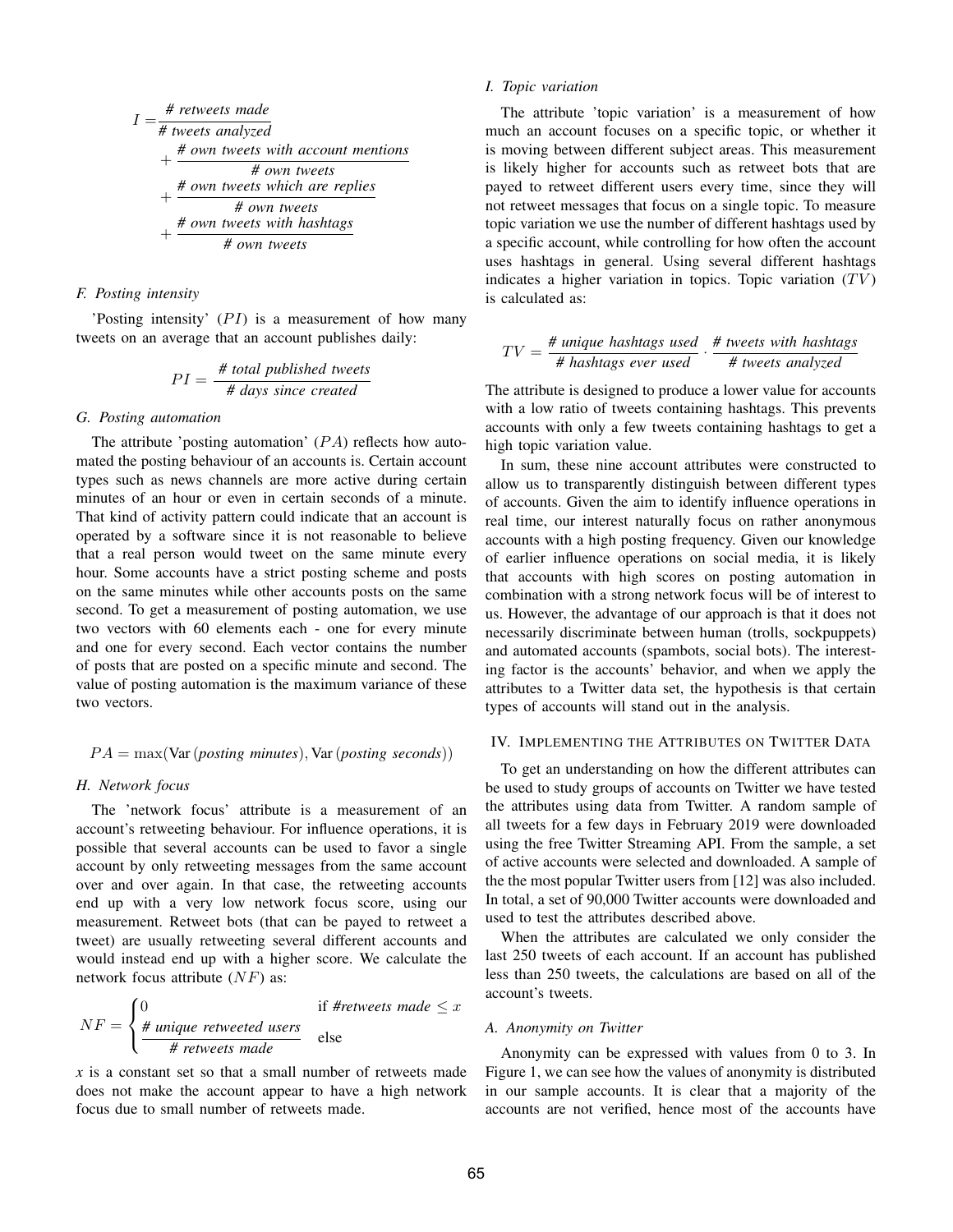$$
I = \frac{\# \text{ networks made}}{\# \text{ tweets analyzed}}
$$
  
+ 
$$
\frac{\# \text{ own tweets with account mentions}}{\# \text{ own tweets which are replies}}
$$
  
+ 
$$
\frac{\# \text{ own tweets which are replies}}{\# \text{ own tweets with hashing}}
$$
  
+ 
$$
\frac{\# \text{ own tweets with habitats}}{\# \text{ own tweets}}
$$

#### *F. Posting intensity*

'Posting intensity'  $(PI)$  is a measurement of how many tweets on an average that an account publishes daily:

$$
PI = \frac{\# \ total \ published \ tweets}{\# \ days \ since \ created}
$$

# *G. Posting automation*

The attribute 'posting automation'  $(PA)$  reflects how automated the posting behaviour of an accounts is. Certain account types such as news channels are more active during certain minutes of an hour or even in certain seconds of a minute. That kind of activity pattern could indicate that an account is operated by a software since it is not reasonable to believe that a real person would tweet on the same minute every hour. Some accounts have a strict posting scheme and posts on the same minutes while other accounts posts on the same second. To get a measurement of posting automation, we use two vectors with 60 elements each - one for every minute and one for every second. Each vector contains the number of posts that are posted on a specific minute and second. The value of posting automation is the maximum variance of these two vectors.

$$
PA = \max(\text{Var}(positing minutes), \text{Var}(positing seconds))
$$

# *H. Network focus*

The 'network focus' attribute is a measurement of an account's retweeting behaviour. For influence operations, it is possible that several accounts can be used to favor a single account by only retweeting messages from the same account over and over again. In that case, the retweeting accounts end up with a very low network focus score, using our measurement. Retweet bots (that can be payed to retweet a tweet) are usually retweeting several different accounts and would instead end up with a higher score. We calculate the network focus attribute  $(NF)$  as:

$$
NF = \begin{cases} 0 & \text{if H returns mode ≤ x \\ \frac{\# unique \text{ retweeted users}}{\# \text{ retweets made}} & \text{else} \end{cases}
$$

*x* is a constant set so that a small number of retweets made does not make the account appear to have a high network focus due to small number of retweets made.

# *I. Topic variation*

The attribute 'topic variation' is a measurement of how much an account focuses on a specific topic, or whether it is moving between different subject areas. This measurement is likely higher for accounts such as retweet bots that are payed to retweet different users every time, since they will not retweet messages that focus on a single topic. To measure topic variation we use the number of different hashtags used by a specific account, while controlling for how often the account uses hashtags in general. Using several different hashtags indicates a higher variation in topics. Topic variation  $(TV)$ is calculated as:

$$
TV = \frac{\text{# unique hashtags used}}{\text{# hashtags ever used}} \cdot \frac{\text{# tweets with hashtags}}{\text{# tweets analyzed}}
$$

The attribute is designed to produce a lower value for accounts with a low ratio of tweets containing hashtags. This prevents accounts with only a few tweets containing hashtags to get a high topic variation value.

In sum, these nine account attributes were constructed to allow us to transparently distinguish between different types of accounts. Given the aim to identify influence operations in real time, our interest naturally focus on rather anonymous accounts with a high posting frequency. Given our knowledge of earlier influence operations on social media, it is likely that accounts with high scores on posting automation in combination with a strong network focus will be of interest to us. However, the advantage of our approach is that it does not necessarily discriminate between human (trolls, sockpuppets) and automated accounts (spambots, social bots). The interesting factor is the accounts' behavior, and when we apply the attributes to a Twitter data set, the hypothesis is that certain types of accounts will stand out in the analysis.

# IV. IMPLEMENTING THE ATTRIBUTES ON TWITTER DATA

To get an understanding on how the different attributes can be used to study groups of accounts on Twitter we have tested the attributes using data from Twitter. A random sample of all tweets for a few days in February 2019 were downloaded using the free Twitter Streaming API. From the sample, a set of active accounts were selected and downloaded. A sample of the the most popular Twitter users from [12] was also included. In total, a set of 90,000 Twitter accounts were downloaded and used to test the attributes described above.

When the attributes are calculated we only consider the last 250 tweets of each account. If an account has published less than 250 tweets, the calculations are based on all of the account's tweets.

# *A. Anonymity on Twitter*

Anonymity can be expressed with values from 0 to 3. In Figure 1, we can see how the values of anonymity is distributed in our sample accounts. It is clear that a majority of the accounts are not verified, hence most of the accounts have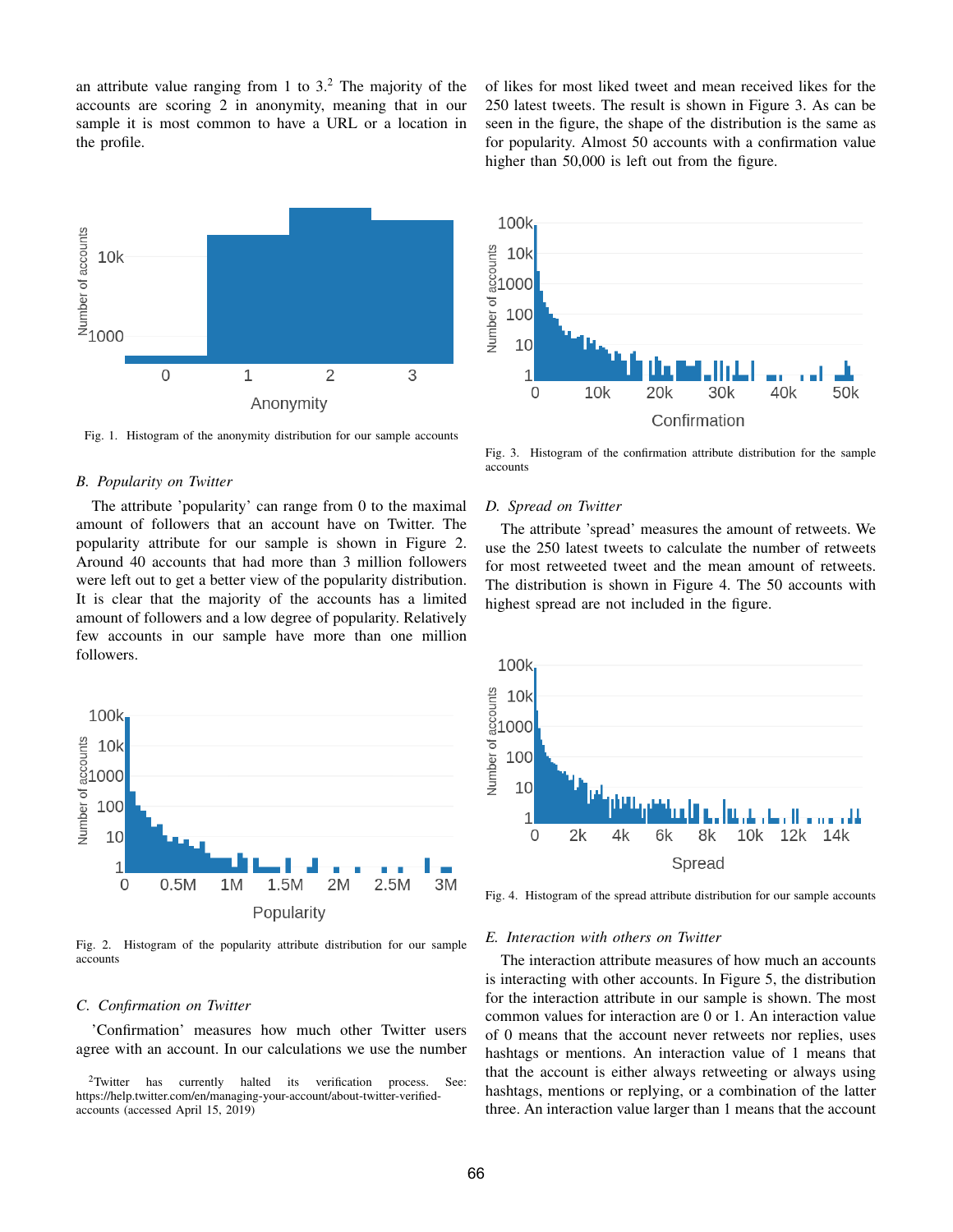an attribute value ranging from 1 to  $3<sup>2</sup>$ . The majority of the accounts are scoring 2 in anonymity, meaning that in our sample it is most common to have a URL or a location in the profile.



Fig. 1. Histogram of the anonymity distribution for our sample accounts

#### *B. Popularity on Twitter*

The attribute 'popularity' can range from 0 to the maximal amount of followers that an account have on Twitter. The popularity attribute for our sample is shown in Figure 2. Around 40 accounts that had more than 3 million followers were left out to get a better view of the popularity distribution. It is clear that the majority of the accounts has a limited amount of followers and a low degree of popularity. Relatively few accounts in our sample have more than one million followers.



Fig. 2. Histogram of the popularity attribute distribution for our sample accounts

#### *C. Confirmation on Twitter*

'Confirmation' measures how much other Twitter users agree with an account. In our calculations we use the number of likes for most liked tweet and mean received likes for the 250 latest tweets. The result is shown in Figure 3. As can be seen in the figure, the shape of the distribution is the same as for popularity. Almost 50 accounts with a confirmation value higher than 50,000 is left out from the figure.



Fig. 3. Histogram of the confirmation attribute distribution for the sample accounts

# *D. Spread on Twitter*

The attribute 'spread' measures the amount of retweets. We use the 250 latest tweets to calculate the number of retweets for most retweeted tweet and the mean amount of retweets. The distribution is shown in Figure 4. The 50 accounts with highest spread are not included in the figure.



Fig. 4. Histogram of the spread attribute distribution for our sample accounts

#### *E. Interaction with others on Twitter*

The interaction attribute measures of how much an accounts is interacting with other accounts. In Figure 5, the distribution for the interaction attribute in our sample is shown. The most common values for interaction are 0 or 1. An interaction value of 0 means that the account never retweets nor replies, uses hashtags or mentions. An interaction value of 1 means that that the account is either always retweeting or always using hashtags, mentions or replying, or a combination of the latter three. An interaction value larger than 1 means that the account

<sup>&</sup>lt;sup>2</sup>Twitter has currently halted its verification process. See: https://help.twitter.com/en/managing-your-account/about-twitter-verifiedaccounts (accessed April 15, 2019)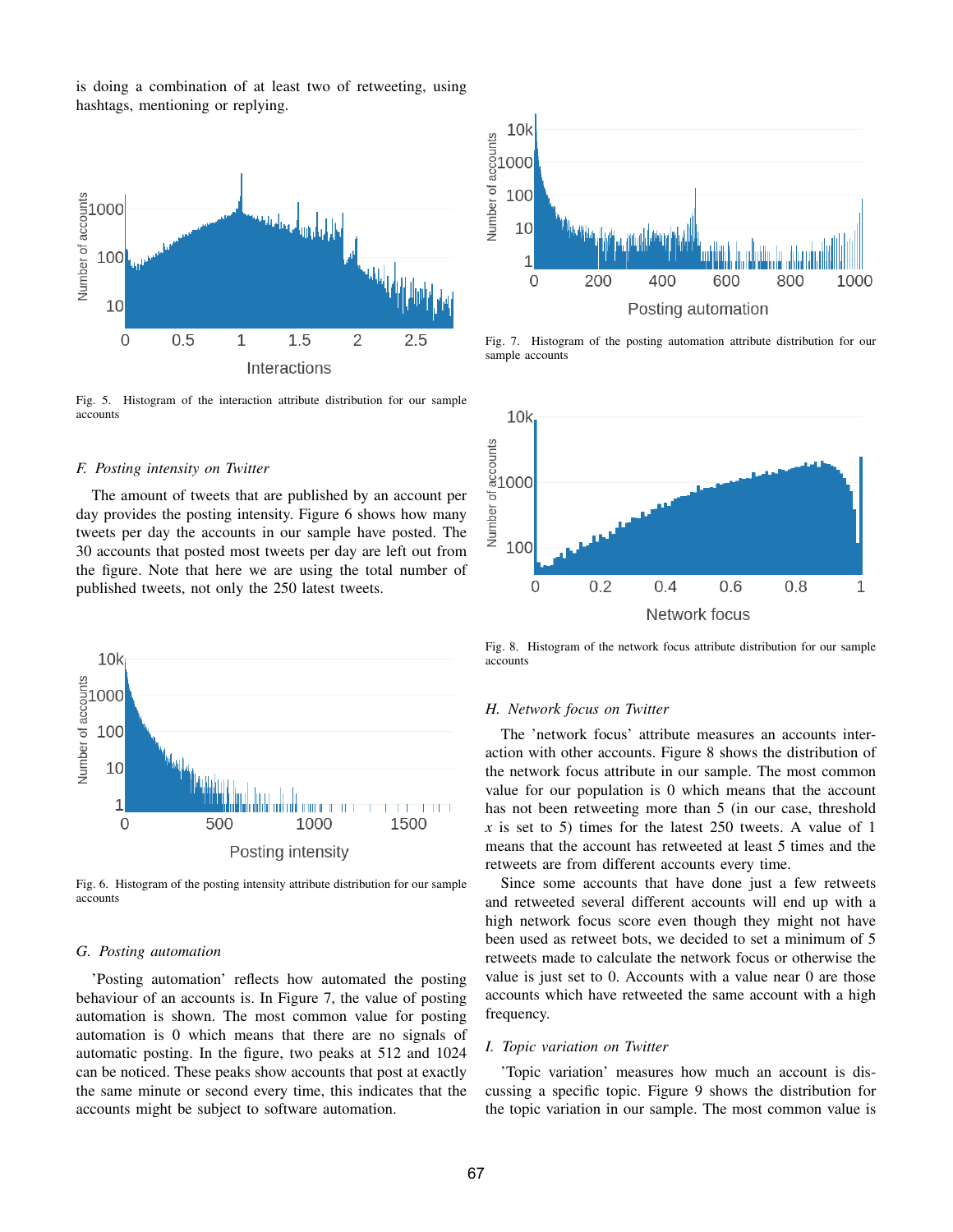is doing a combination of at least two of retweeting, using hashtags, mentioning or replying.



Fig. 5. Histogram of the interaction attribute distribution for our sample accounts

# *F. Posting intensity on Twitter*

The amount of tweets that are published by an account per day provides the posting intensity. Figure 6 shows how many tweets per day the accounts in our sample have posted. The 30 accounts that posted most tweets per day are left out from the figure. Note that here we are using the total number of published tweets, not only the 250 latest tweets.



Fig. 6. Histogram of the posting intensity attribute distribution for our sample accounts

#### *G. Posting automation*

'Posting automation' reflects how automated the posting behaviour of an accounts is. In Figure 7, the value of posting automation is shown. The most common value for posting automation is 0 which means that there are no signals of automatic posting. In the figure, two peaks at 512 and 1024 can be noticed. These peaks show accounts that post at exactly the same minute or second every time, this indicates that the accounts might be subject to software automation.



Fig. 7. Histogram of the posting automation attribute distribution for our sample accounts



Fig. 8. Histogram of the network focus attribute distribution for our sample accounts

# *H. Network focus on Twitter*

The 'network focus' attribute measures an accounts interaction with other accounts. Figure 8 shows the distribution of the network focus attribute in our sample. The most common value for our population is 0 which means that the account has not been retweeting more than 5 (in our case, threshold *x* is set to 5) times for the latest 250 tweets. A value of 1 means that the account has retweeted at least 5 times and the retweets are from different accounts every time.

Since some accounts that have done just a few retweets and retweeted several different accounts will end up with a high network focus score even though they might not have been used as retweet bots, we decided to set a minimum of 5 retweets made to calculate the network focus or otherwise the value is just set to 0. Accounts with a value near 0 are those accounts which have retweeted the same account with a high frequency.

#### *I. Topic variation on Twitter*

'Topic variation' measures how much an account is discussing a specific topic. Figure 9 shows the distribution for the topic variation in our sample. The most common value is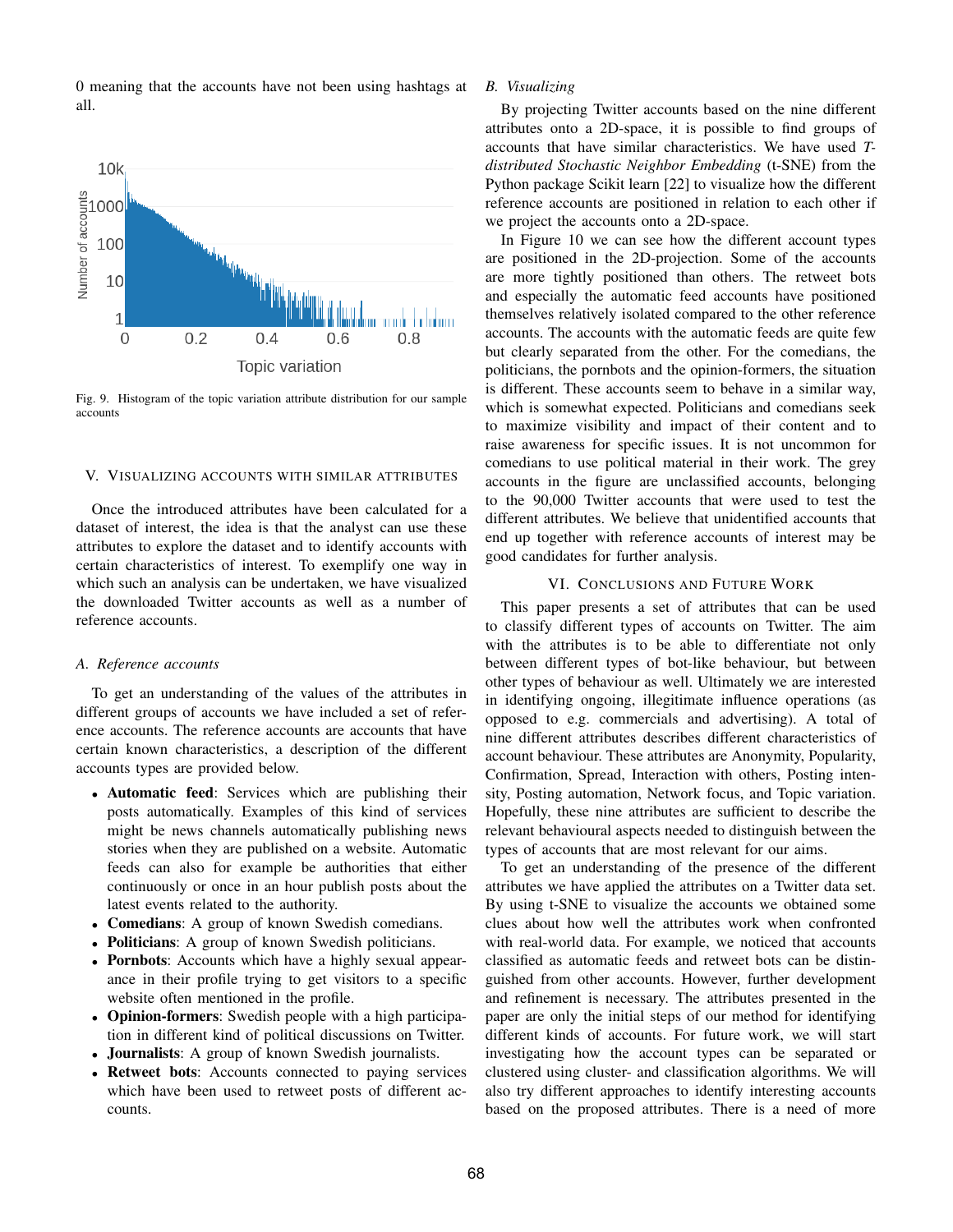



Fig. 9. Histogram of the topic variation attribute distribution for our sample accounts

#### V. VISUALIZING ACCOUNTS WITH SIMILAR ATTRIBUTES

Once the introduced attributes have been calculated for a dataset of interest, the idea is that the analyst can use these attributes to explore the dataset and to identify accounts with certain characteristics of interest. To exemplify one way in which such an analysis can be undertaken, we have visualized the downloaded Twitter accounts as well as a number of reference accounts.

# *A. Reference accounts*

To get an understanding of the values of the attributes in different groups of accounts we have included a set of reference accounts. The reference accounts are accounts that have certain known characteristics, a description of the different accounts types are provided below.

- Automatic feed: Services which are publishing their posts automatically. Examples of this kind of services might be news channels automatically publishing news stories when they are published on a website. Automatic feeds can also for example be authorities that either continuously or once in an hour publish posts about the latest events related to the authority.
- Comedians: A group of known Swedish comedians.
- Politicians: A group of known Swedish politicians.
- Pornbots: Accounts which have a highly sexual appearance in their profile trying to get visitors to a specific website often mentioned in the profile.
- Opinion-formers: Swedish people with a high participation in different kind of political discussions on Twitter.
- Journalists: A group of known Swedish journalists.
- Retweet bots: Accounts connected to paying services which have been used to retweet posts of different accounts.

# *B. Visualizing*

By projecting Twitter accounts based on the nine different attributes onto a 2D-space, it is possible to find groups of accounts that have similar characteristics. We have used *Tdistributed Stochastic Neighbor Embedding* (t-SNE) from the Python package Scikit learn [22] to visualize how the different reference accounts are positioned in relation to each other if we project the accounts onto a 2D-space.

In Figure 10 we can see how the different account types are positioned in the 2D-projection. Some of the accounts are more tightly positioned than others. The retweet bots and especially the automatic feed accounts have positioned themselves relatively isolated compared to the other reference accounts. The accounts with the automatic feeds are quite few but clearly separated from the other. For the comedians, the politicians, the pornbots and the opinion-formers, the situation is different. These accounts seem to behave in a similar way, which is somewhat expected. Politicians and comedians seek to maximize visibility and impact of their content and to raise awareness for specific issues. It is not uncommon for comedians to use political material in their work. The grey accounts in the figure are unclassified accounts, belonging to the 90,000 Twitter accounts that were used to test the different attributes. We believe that unidentified accounts that end up together with reference accounts of interest may be good candidates for further analysis.

# VI. CONCLUSIONS AND FUTURE WORK

This paper presents a set of attributes that can be used to classify different types of accounts on Twitter. The aim with the attributes is to be able to differentiate not only between different types of bot-like behaviour, but between other types of behaviour as well. Ultimately we are interested in identifying ongoing, illegitimate influence operations (as opposed to e.g. commercials and advertising). A total of nine different attributes describes different characteristics of account behaviour. These attributes are Anonymity, Popularity, Confirmation, Spread, Interaction with others, Posting intensity, Posting automation, Network focus, and Topic variation. Hopefully, these nine attributes are sufficient to describe the relevant behavioural aspects needed to distinguish between the types of accounts that are most relevant for our aims.

To get an understanding of the presence of the different attributes we have applied the attributes on a Twitter data set. By using t-SNE to visualize the accounts we obtained some clues about how well the attributes work when confronted with real-world data. For example, we noticed that accounts classified as automatic feeds and retweet bots can be distinguished from other accounts. However, further development and refinement is necessary. The attributes presented in the paper are only the initial steps of our method for identifying different kinds of accounts. For future work, we will start investigating how the account types can be separated or clustered using cluster- and classification algorithms. We will also try different approaches to identify interesting accounts based on the proposed attributes. There is a need of more